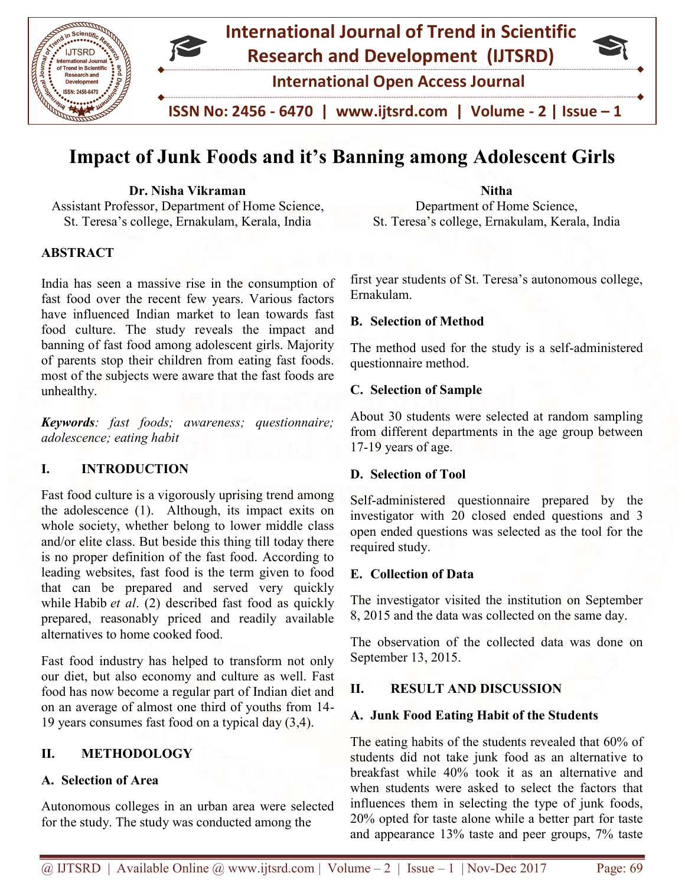

# Impact of Junk Foods and it's Banning among Adolescent Girls

Dr. Nisha Vikraman Assistant Professor, Department of Home Science, St. Teresa's college, Ernakulam, Kerala, India

## **ABSTRACT**

India has seen a massive rise in the consumption of fast food over the recent few years. Various factors have influenced Indian market to lean towards fast food culture. The study reveals the impact and banning of fast food among adolescent girls. Majority of parents stop their children from eating fast foods. most of the subjects were aware that the fast foods are unhealthy.

Keywords: fast foods; awareness; questionnaire; adolescence; eating habit

## I. INTRODUCTION

Fast food culture is a vigorously uprising trend among the adolescence (1). Although, its impact exits on whole society, whether belong to lower middle class and/or elite class. But beside this thing till today there is no proper definition of the fast food. According to leading websites, fast food is the term given to food that can be prepared and served very quickly while Habib et al. (2) described fast food as quickly prepared, reasonably priced and readily available alternatives to home cooked food. India has scen a massive rise in the consumption of<br>fast food over the recent few years. Various factors<br>have influenced Indian market to lean towards fast<br>food culture. The study reveals the impact and<br>banning of fast foo is has scen a massive rise in the consumption of first year students of St. Teresa's autonomous college,<br>
in has scenario the consumer factor (see no wounds fast<br>
in direct the among the study is a self-administered<br>
in a

Fast food industry has helped to transform not only our diet, but also economy and culture as well. Fast food has now become a regular part of Indian diet and on an average of almost one third of youths from 14 19 years consumes fast food on a typical day (3,4).

## II. METHODOLOGY

## A. Selection of Area

Autonomous colleges in an urban area were selected for the study. The study was conducted among the

Department of Home Science, St. Teresa's college, Ernakulam, Kerala, India

Nitha

Ernakulam. eresa's college, Ernakulam, Kerala, India<br>students of St. Teresa's autonomous college,<br>m.<br>tion of Method<br>od used for the study is a self-administered

## B. Selection of Method

The method used for the study is a self-administered questionnaire method.

#### C. Selection of Sample

About 30 students were selected at random sampling from different departments in the age group between 17-19 years of age. About 30 students were selected at random sampling<br>from different departments in the age group between<br>17-19 years of age.<br>**D. Selection of Tool**<br>Self-administered questionnaire prepared by the<br>investigator with 20 closed

## D. Selection of Tool

Self-administered questionnaire prepared by the open ended questions was selected as the tool for the required study.

#### E. Collection of Data

The investigator visited the institution on September 8, 2015 and the data was collected on the same day.

8, 2015 and the data was collected on the same day.<br>The observation of the collected data was done on September 13, 2015.

## II. RESULT AND DISCUSSION

#### A. Junk Food Eating Habit of the Students

The eating habits of the students revealed that 60% of The eating habits of the students revealed that 60% of students did not take junk food as an alternative to breakfast while 40% took it as an alternative and when students were asked to select the factors that influences them in selecting the type of junk foods, 20% opted for taste alone while a better part for taste and appearance 13% taste and peer groups, 7% taste asked to select the factors<br>electing the type of junk fo<br>lone while a better part for t<br>taste and peer groups, 7%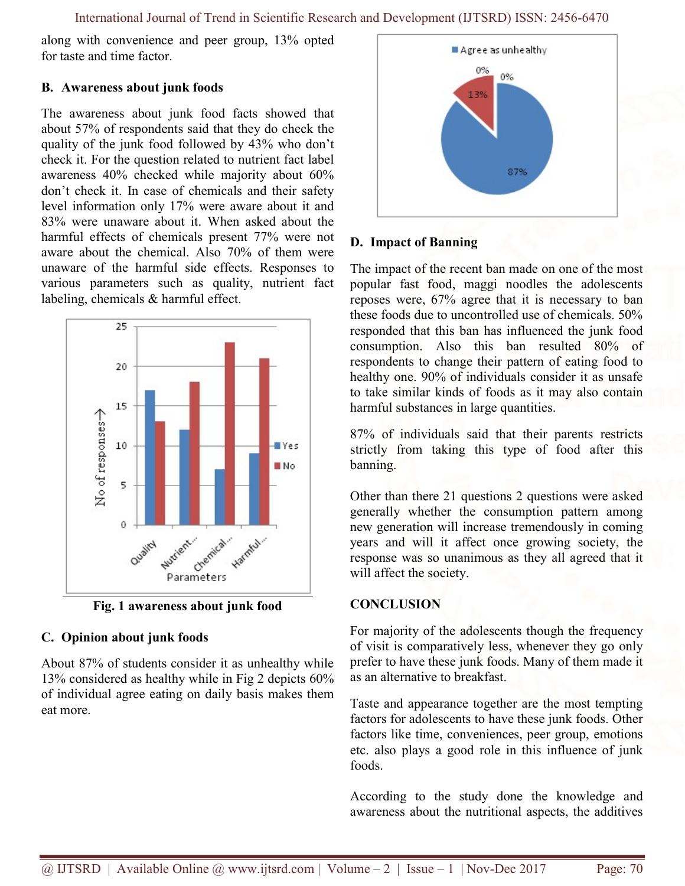International Journal of Trend in Scientific Research and Development (IJTSRD) ISSN: 2456-6470

along with convenience and peer group, 13% opted for taste and time factor.

## B. Awareness about junk foods

The awareness about junk food facts showed that about 57% of respondents said that they do check the quality of the junk food followed by 43% who don't check it. For the question related to nutrient fact label awareness 40% checked while majority about 60% don't check it. In case of chemicals and their safety level information only 17% were aware about it and 83% were unaware about it. When asked about the harmful effects of chemicals present 77% were not aware about the chemical. Also 70% of them were unaware of the harmful side effects. Responses to various parameters such as quality, nutrient fact labeling, chemicals & harmful effect.



Fig. 1 awareness about junk food

# C. Opinion about junk foods

About 87% of students consider it as unhealthy while 13% considered as healthy while in Fig 2 depicts 60% of individual agree eating on daily basis makes them eat more.



## D. Impact of Banning

The impact of the recent ban made on one of the most popular fast food, maggi noodles the adolescents reposes were, 67% agree that it is necessary to ban these foods due to uncontrolled use of chemicals. 50% responded that this ban has influenced the junk food consumption. Also this ban resulted 80% of respondents to change their pattern of eating food to healthy one. 90% of individuals consider it as unsafe to take similar kinds of foods as it may also contain harmful substances in large quantities.

87% of individuals said that their parents restricts strictly from taking this type of food after this banning.

Other than there 21 questions 2 questions were asked generally whether the consumption pattern among new generation will increase tremendously in coming years and will it affect once growing society, the response was so unanimous as they all agreed that it will affect the society.

# **CONCLUSION**

For majority of the adolescents though the frequency of visit is comparatively less, whenever they go only prefer to have these junk foods. Many of them made it as an alternative to breakfast.

Taste and appearance together are the most tempting factors for adolescents to have these junk foods. Other factors like time, conveniences, peer group, emotions etc. also plays a good role in this influence of junk foods.

According to the study done the knowledge and awareness about the nutritional aspects, the additives